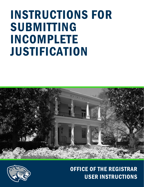# INSTRUCTIONS FOR SUBMITTING INCOMPLETE JUSTIFICATION





## OFFICE OF THE REGISTRAR USER INSTRUCTIONS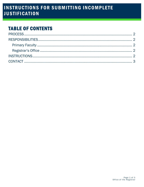### **TABLE OF CONTENTS**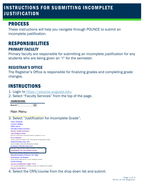### INSTRUCTIONS FOR SUBMITTING INCOMPLETE JUSTIFICATION

#### <span id="page-2-0"></span>PROCESS

These instructions will help you navigate through POUNCE to submit an incomplete justification.

#### <span id="page-2-1"></span>RESPONSIBILITIES PRIMARY FACULTY

<span id="page-2-2"></span>Primary faculty are responsible for submitting an incomplete justification for any students who are being given an "I" for the semester.

#### <span id="page-2-3"></span>REGISTRAR'S OFFICE

The Registrar's Office is responsible for finalizing grades and completing grade changes.

#### <span id="page-2-4"></span>INSTRUCTIONS

- 1. Login to [https://pounce.augusta.edu.](https://pounce.augusta.edu/)
- 2. Select "Faculty Services" from the top of the page.

**Faculty Services**  $\vert$  Go $\vert$ Search



3. Select "Justification for Incomplete Grade".

| Class Schedule                                                                                             |
|------------------------------------------------------------------------------------------------------------|
| <b>Course Catalog</b>                                                                                      |
| <b>Office Hours</b>                                                                                        |
| <b>Advisee Grade Summary</b>                                                                               |
| <b>Faculty Grade Summary</b>                                                                               |
| View/Release Holds                                                                                         |
| Release holds from students/advisees assigned to you.                                                      |
| <b>Role Selection</b>                                                                                      |
| Choose Faculty or Advisor role. Only affects View/Release Holds.                                           |
| Detail Pictorial Class Roll                                                                                |
| View a detailed class roll with student photos                                                             |
| <b>Summary Pictorial Class Roll</b>                                                                        |
| <u>VIEW YOU LOG SS TON WILL SLUGENT DHOLOS THE YEGHOODKEESL, IE.</u><br>Justification for Incomplete Grade |
| Ctudent Athlete Dreareen Evaluation                                                                        |
| Pictorial Student Directory for Major                                                                      |
| Attendance Verification                                                                                    |
| Verify student attendance in your assigned courses.                                                        |
| Grade Change                                                                                               |
| <b>Course Substitution Paper Form</b>                                                                      |
| The Course Substitution Workflow is down for updates and mainten:                                          |
| <b>Faculty Grade Entry</b>                                                                                 |
|                                                                                                            |

4. Select the CRN/course from the drop down list and submit.